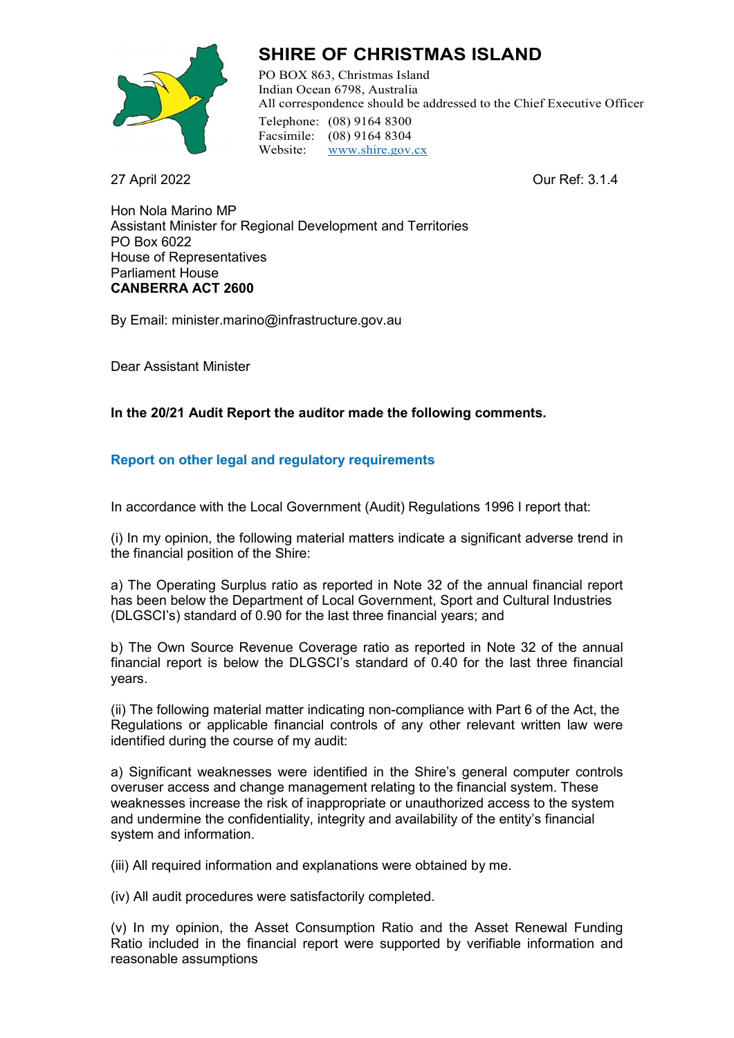

# **SHIRE OF CHRISTMAS ISLAND**

PO BOX 863, Christmas Island Indian Ocean 6798, Australia All correspondence should be addressed to the Chief Executive Officer Telephone: (08) 9164 8300 Facsimile: (08) 9164 8304 Website: [www.shire.gov.cx](http://www.shire.gov.cx/)

27 April 2022 Our Ref: 3.1.4

Hon Nola Marino MP Assistant Minister for Regional Development and Territories PO Box 6022 House of Representatives Parliament House **CANBERRA ACT 2600**

By Email: minister.marino@infrastructure.gov.au

Dear Assistant Minister

## **In the 20/21 Audit Report the auditor made the following comments.**

## **Report on other legal and regulatory requirements**

In accordance with the Local Government (Audit) Regulations 1996 I report that:

(i) In my opinion, the following material matters indicate a significant adverse trend in the financial position of the Shire:

a) The Operating Surplus ratio as reported in Note 32 of the annual financial report has been below the Department of Local Government, Sport and Cultural Industries (DLGSCI's) standard of 0.90 for the last three financial years; and

b) The Own Source Revenue Coverage ratio as reported in Note 32 of the annual financial report is below the DLGSCI's standard of 0.40 for the last three financial years.

(ii) The following material matter indicating non-compliance with Part 6 of the Act, the Regulations or applicable financial controls of any other relevant written law were identified during the course of my audit:

a) Significant weaknesses were identified in the Shire's general computer controls overuser access and change management relating to the financial system. These weaknesses increase the risk of inappropriate or unauthorized access to the system and undermine the confidentiality, integrity and availability of the entity's financial system and information.

(iii) All required information and explanations were obtained by me.

(iv) All audit procedures were satisfactorily completed.

(v) In my opinion, the Asset Consumption Ratio and the Asset Renewal Funding Ratio included in the financial report were supported by verifiable information and reasonable assumptions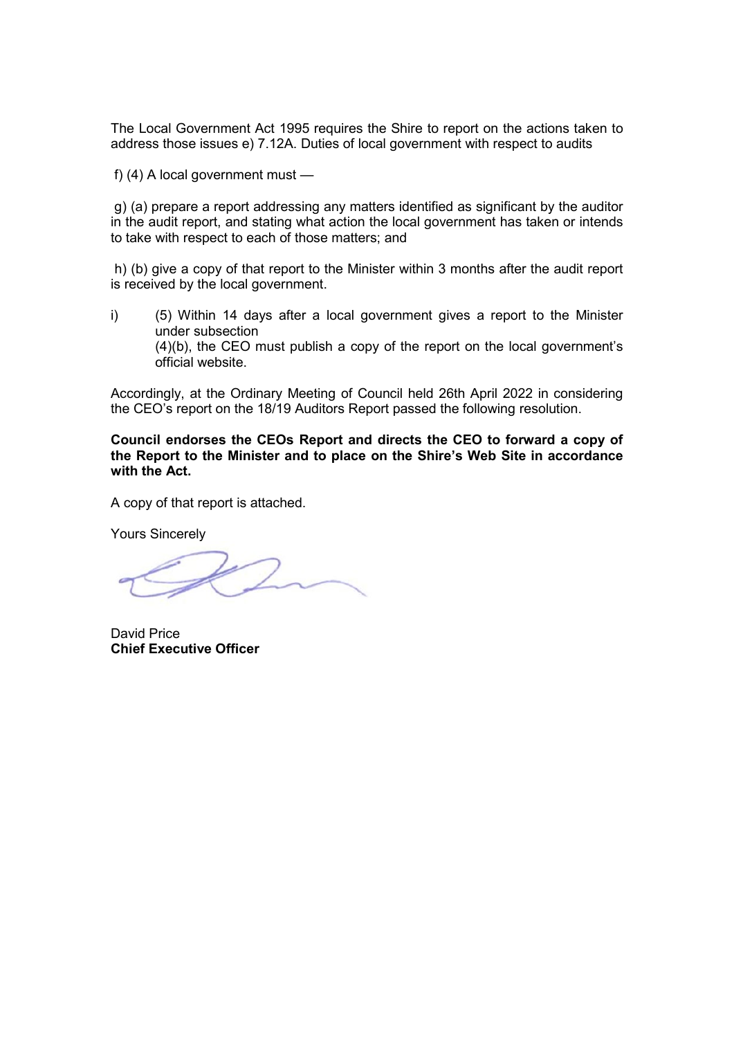The Local Government Act 1995 requires the Shire to report on the actions taken to address those issues e) 7.12A. Duties of local government with respect to audits

f) (4) A local government must —

g) (a) prepare a report addressing any matters identified as significant by the auditor in the audit report, and stating what action the local government has taken or intends to take with respect to each of those matters; and

h) (b) give a copy of that report to the Minister within 3 months after the audit report is received by the local government.

i) (5) Within 14 days after a local government gives a report to the Minister under subsection (4)(b), the CEO must publish a copy of the report on the local government's official website.

Accordingly, at the Ordinary Meeting of Council held 26th April 2022 in considering the CEO's report on the 18/19 Auditors Report passed the following resolution.

**Council endorses the CEOs Report and directs the CEO to forward a copy of the Report to the Minister and to place on the Shire's Web Site in accordance with the Act.** 

A copy of that report is attached.

Yours Sincerely

David Price **Chief Executive Officer**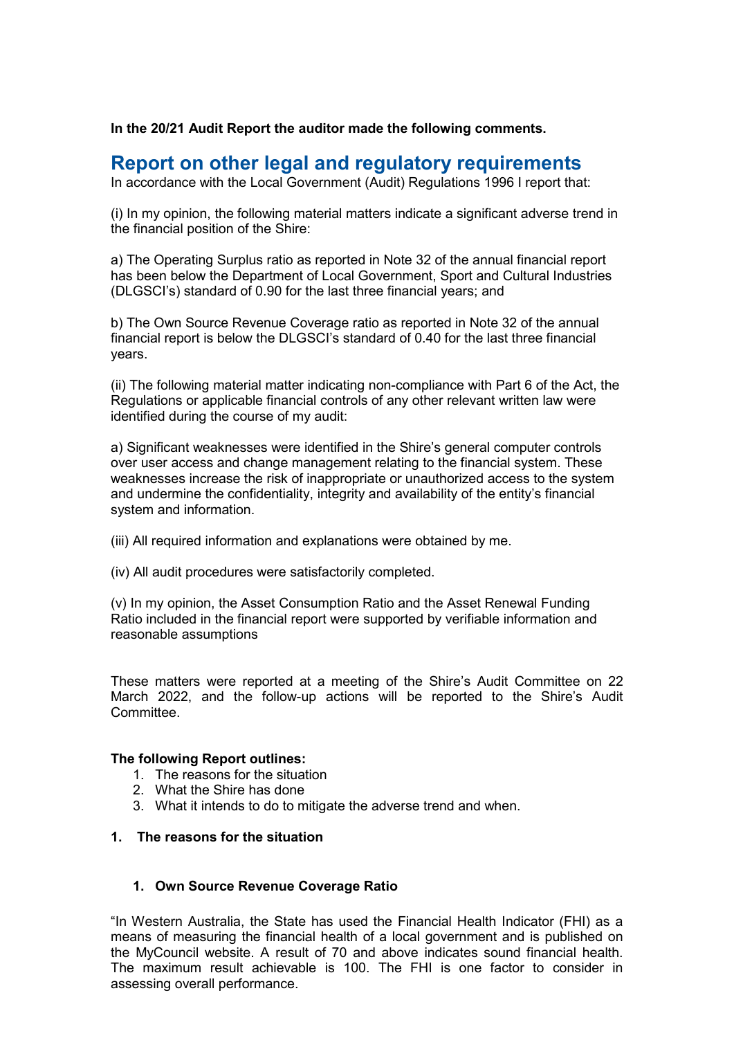**In the 20/21 Audit Report the auditor made the following comments.**

## **Report on other legal and regulatory requirements**

In accordance with the Local Government (Audit) Regulations 1996 I report that:

(i) In my opinion, the following material matters indicate a significant adverse trend in the financial position of the Shire:

a) The Operating Surplus ratio as reported in Note 32 of the annual financial report has been below the Department of Local Government, Sport and Cultural Industries (DLGSCI's) standard of 0.90 for the last three financial years; and

b) The Own Source Revenue Coverage ratio as reported in Note 32 of the annual financial report is below the DLGSCI's standard of 0.40 for the last three financial years.

(ii) The following material matter indicating non-compliance with Part 6 of the Act, the Regulations or applicable financial controls of any other relevant written law were identified during the course of my audit:

a) Significant weaknesses were identified in the Shire's general computer controls over user access and change management relating to the financial system. These weaknesses increase the risk of inappropriate or unauthorized access to the system and undermine the confidentiality, integrity and availability of the entity's financial system and information.

- (iii) All required information and explanations were obtained by me.
- (iv) All audit procedures were satisfactorily completed.

(v) In my opinion, the Asset Consumption Ratio and the Asset Renewal Funding Ratio included in the financial report were supported by verifiable information and reasonable assumptions

These matters were reported at a meeting of the Shire's Audit Committee on 22 March 2022, and the follow-up actions will be reported to the Shire's Audit **Committee.** 

#### **The following Report outlines:**

- 1. The reasons for the situation
- 2. What the Shire has done
- 3. What it intends to do to mitigate the adverse trend and when.

## **1. The reasons for the situation**

#### **1. Own Source Revenue Coverage Ratio**

"In Western Australia, the State has used the Financial Health Indicator (FHI) as a means of measuring the financial health of a local government and is published on the MyCouncil website. A result of 70 and above indicates sound financial health. The maximum result achievable is 100. The FHI is one factor to consider in assessing overall performance.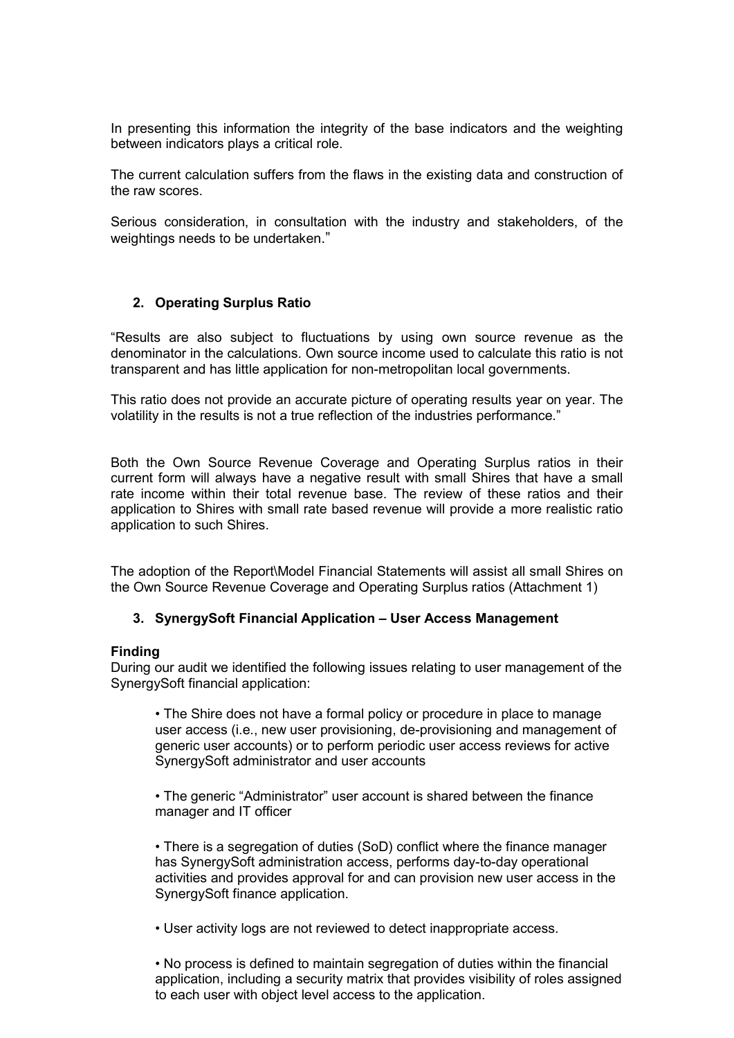In presenting this information the integrity of the base indicators and the weighting between indicators plays a critical role.

The current calculation suffers from the flaws in the existing data and construction of the raw scores.

Serious consideration, in consultation with the industry and stakeholders, of the weightings needs to be undertaken."

### **2. Operating Surplus Ratio**

"Results are also subject to fluctuations by using own source revenue as the denominator in the calculations. Own source income used to calculate this ratio is not transparent and has little application for non-metropolitan local governments.

This ratio does not provide an accurate picture of operating results year on year. The volatility in the results is not a true reflection of the industries performance."

Both the Own Source Revenue Coverage and Operating Surplus ratios in their current form will always have a negative result with small Shires that have a small rate income within their total revenue base. The review of these ratios and their application to Shires with small rate based revenue will provide a more realistic ratio application to such Shires.

The adoption of the Report\Model Financial Statements will assist all small Shires on the Own Source Revenue Coverage and Operating Surplus ratios (Attachment 1)

#### **3. SynergySoft Financial Application – User Access Management**

#### **Finding**

During our audit we identified the following issues relating to user management of the SynergySoft financial application:

• The Shire does not have a formal policy or procedure in place to manage user access (i.e., new user provisioning, de-provisioning and management of generic user accounts) or to perform periodic user access reviews for active SynergySoft administrator and user accounts

• The generic "Administrator" user account is shared between the finance manager and IT officer

• There is a segregation of duties (SoD) conflict where the finance manager has SynergySoft administration access, performs day-to-day operational activities and provides approval for and can provision new user access in the SynergySoft finance application.

• User activity logs are not reviewed to detect inappropriate access.

• No process is defined to maintain segregation of duties within the financial application, including a security matrix that provides visibility of roles assigned to each user with object level access to the application.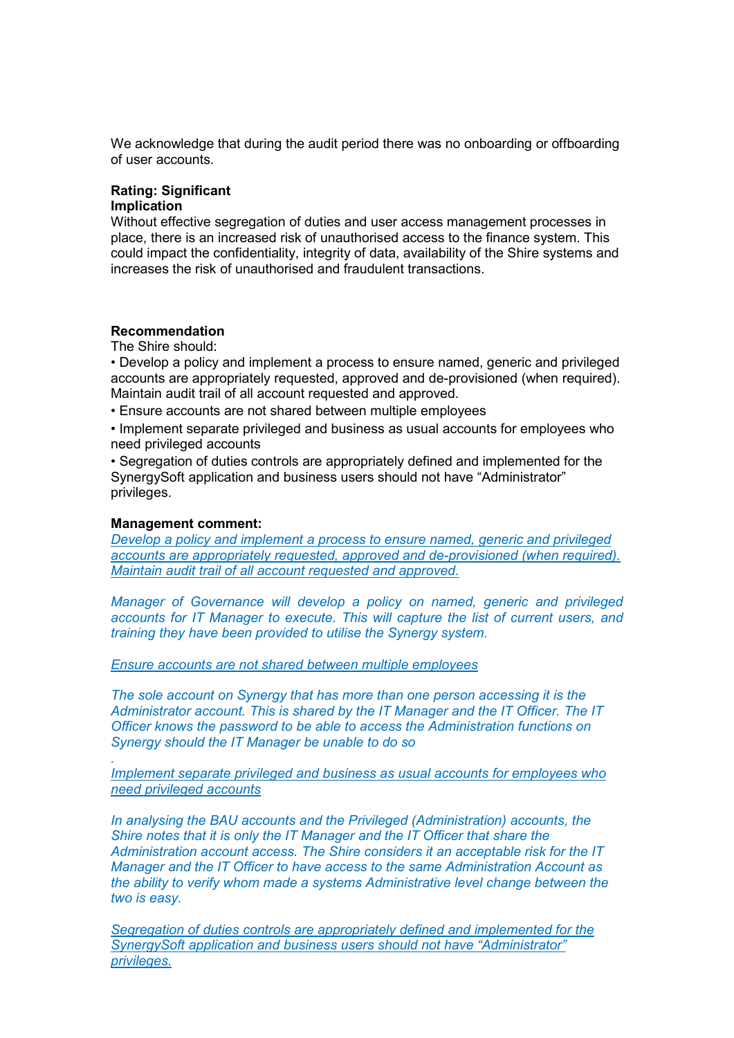We acknowledge that during the audit period there was no onboarding or offboarding of user accounts.

#### **Rating: Significant Implication**

Without effective segregation of duties and user access management processes in place, there is an increased risk of unauthorised access to the finance system. This could impact the confidentiality, integrity of data, availability of the Shire systems and increases the risk of unauthorised and fraudulent transactions.

## **Recommendation**

The Shire should:

• Develop a policy and implement a process to ensure named, generic and privileged accounts are appropriately requested, approved and de-provisioned (when required). Maintain audit trail of all account requested and approved.

• Ensure accounts are not shared between multiple employees

• Implement separate privileged and business as usual accounts for employees who need privileged accounts

• Segregation of duties controls are appropriately defined and implemented for the SynergySoft application and business users should not have "Administrator" privileges.

#### **Management comment:**

*.* 

*Develop a policy and implement a process to ensure named, generic and privileged accounts are appropriately requested, approved and de-provisioned (when required). Maintain audit trail of all account requested and approved.* 

*Manager of Governance will develop a policy on named, generic and privileged accounts for IT Manager to execute. This will capture the list of current users, and training they have been provided to utilise the Synergy system.*

*Ensure accounts are not shared between multiple employees* 

*The sole account on Synergy that has more than one person accessing it is the Administrator account. This is shared by the IT Manager and the IT Officer. The IT Officer knows the password to be able to access the Administration functions on Synergy should the IT Manager be unable to do so*

*Implement separate privileged and business as usual accounts for employees who need privileged accounts* 

*In analysing the BAU accounts and the Privileged (Administration) accounts, the Shire notes that it is only the IT Manager and the IT Officer that share the Administration account access. The Shire considers it an acceptable risk for the IT Manager and the IT Officer to have access to the same Administration Account as the ability to verify whom made a systems Administrative level change between the two is easy.* 

*Segregation of duties controls are appropriately defined and implemented for the SynergySoft application and business users should not have "Administrator" privileges.*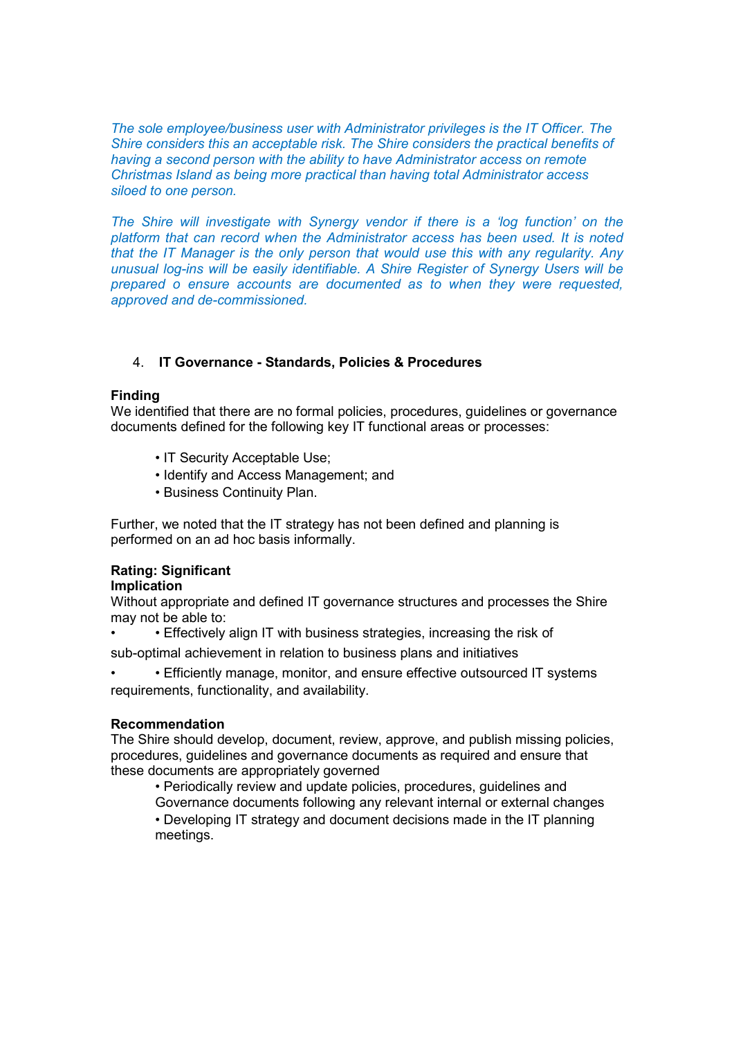*The sole employee/business user with Administrator privileges is the IT Officer. The Shire considers this an acceptable risk. The Shire considers the practical benefits of having a second person with the ability to have Administrator access on remote Christmas Island as being more practical than having total Administrator access siloed to one person.* 

*The Shire will investigate with Synergy vendor if there is a 'log function' on the platform that can record when the Administrator access has been used. It is noted that the IT Manager is the only person that would use this with any regularity. Any unusual log-ins will be easily identifiable. A Shire Register of Synergy Users will be prepared o ensure accounts are documented as to when they were requested, approved and de-commissioned.*

## 4. **IT Governance - Standards, Policies & Procedures**

## **Finding**

We identified that there are no formal policies, procedures, guidelines or governance documents defined for the following key IT functional areas or processes:

- IT Security Acceptable Use;
- Identify and Access Management; and
- Business Continuity Plan.

Further, we noted that the IT strategy has not been defined and planning is performed on an ad hoc basis informally.

## **Rating: Significant**

## **Implication**

Without appropriate and defined IT governance structures and processes the Shire may not be able to:

• Effectively align IT with business strategies, increasing the risk of

sub-optimal achievement in relation to business plans and initiatives

• • Efficiently manage, monitor, and ensure effective outsourced IT systems requirements, functionality, and availability.

## **Recommendation**

The Shire should develop, document, review, approve, and publish missing policies, procedures, guidelines and governance documents as required and ensure that these documents are appropriately governed

• Periodically review and update policies, procedures, guidelines and Governance documents following any relevant internal or external changes • Developing IT strategy and document decisions made in the IT planning meetings.